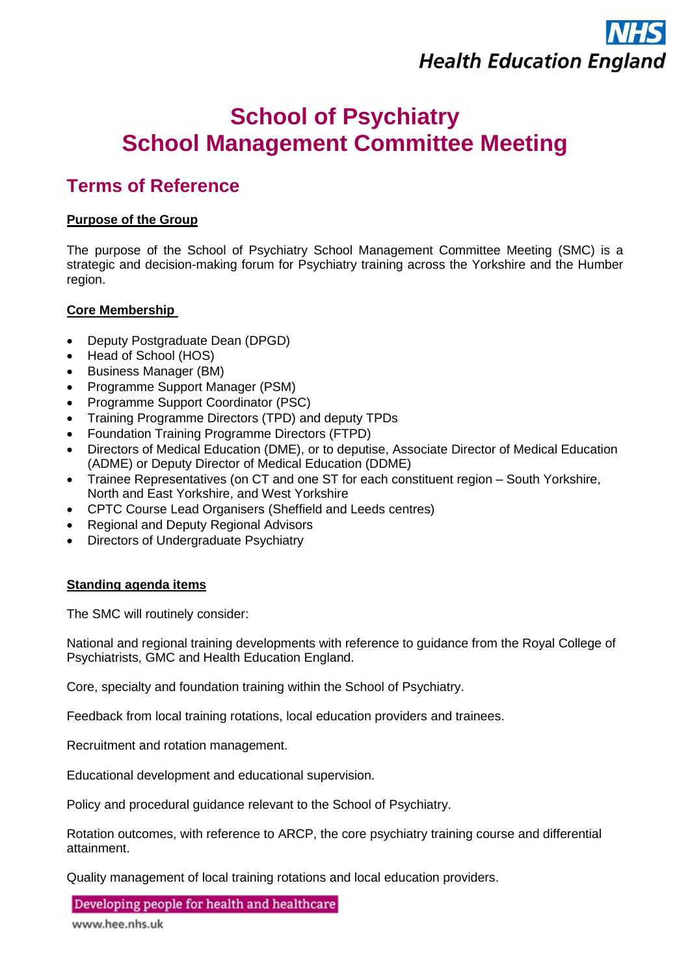# **Health Education England**

## **School of Psychiatry School Management Committee Meeting**

### **Terms of Reference**

#### **Purpose of the Group**

The purpose of the School of Psychiatry School Management Committee Meeting (SMC) is a strategic and decision-making forum for Psychiatry training across the Yorkshire and the Humber region.

#### **Core Membership**

- Deputy Postgraduate Dean (DPGD)
- Head of School (HOS)
- Business Manager (BM)
- Programme Support Manager (PSM)
- Programme Support Coordinator (PSC)
- Training Programme Directors (TPD) and deputy TPDs
- Foundation Training Programme Directors (FTPD)
- Directors of Medical Education (DME), or to deputise, Associate Director of Medical Education (ADME) or Deputy Director of Medical Education (DDME)
- Trainee Representatives (on CT and one ST for each constituent region South Yorkshire, North and East Yorkshire, and West Yorkshire
- CPTC Course Lead Organisers (Sheffield and Leeds centres)
- Regional and Deputy Regional Advisors
- Directors of Undergraduate Psychiatry

#### **Standing agenda items**

The SMC will routinely consider:

National and regional training developments with reference to guidance from the Royal College of Psychiatrists, GMC and Health Education England.

Core, specialty and foundation training within the School of Psychiatry.

Feedback from local training rotations, local education providers and trainees.

Recruitment and rotation management.

Educational development and educational supervision.

Policy and procedural guidance relevant to the School of Psychiatry.

Rotation outcomes, with reference to ARCP, the core psychiatry training course and differential attainment.

Quality management of local training rotations and local education providers.

Developing people for health and healthcare

www.hee.nhs.uk